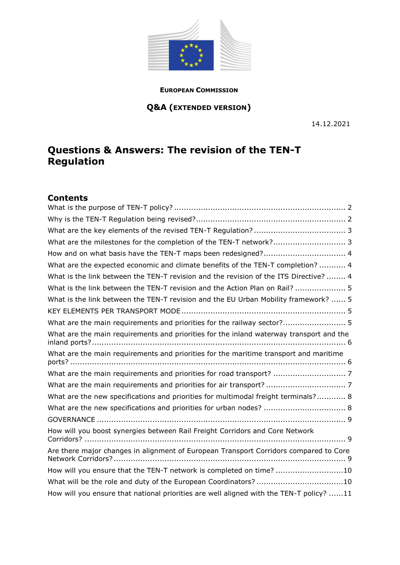

#### **EUROPEAN COMMISSION**

# **Q&A (EXTENDED VERSION)**

14.12.2021

# **Questions & Answers: The revision of the TEN-T Regulation**

# **Contents**

| What are the milestones for the completion of the TEN-T network? 3                      |
|-----------------------------------------------------------------------------------------|
| How and on what basis have the TEN-T maps been redesigned? 4                            |
| What are the expected economic and climate benefits of the TEN-T completion?  4         |
| What is the link between the TEN-T revision and the revision of the ITS Directive?  4   |
| What is the link between the TEN-T revision and the Action Plan on Rail?  5             |
| What is the link between the TEN-T revision and the EU Urban Mobility framework?  5     |
|                                                                                         |
| What are the main requirements and priorities for the railway sector? 5                 |
| What are the main requirements and priorities for the inland waterway transport and the |
| What are the main requirements and priorities for the maritime transport and maritime   |
|                                                                                         |
|                                                                                         |
| What are the new specifications and priorities for multimodal freight terminals? 8      |
| What are the new specifications and priorities for urban nodes?  8                      |
|                                                                                         |
| How will you boost synergies between Rail Freight Corridors and Core Network            |
| Are there major changes in alignment of European Transport Corridors compared to Core   |
| How will you ensure that the TEN-T network is completed on time? 10                     |
| What will be the role and duty of the European Coordinators? 10                         |
| How will you ensure that national priorities are well aligned with the TEN-T policy? 11 |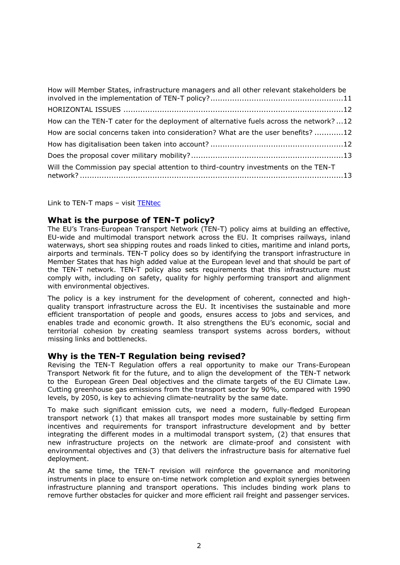| How will Member States, infrastructure managers and all other relevant stakeholders be |
|----------------------------------------------------------------------------------------|
|                                                                                        |
| How can the TEN-T cater for the deployment of alternative fuels across the network?12  |
| How are social concerns taken into consideration? What are the user benefits? 12       |
|                                                                                        |
|                                                                                        |
| Will the Commission pay special attention to third-country investments on the TEN-T    |

<span id="page-1-0"></span>Link to TEN-T maps – visit [TENtec](https://ec.europa.eu/transport/infrastructure/tentec/tentec-portal/map/maps.html?layerOn=true)

# **What is the purpose of TEN-T policy?**

The EU's Trans-European Transport Network (TEN-T) policy aims at building an effective, EU-wide and multimodal transport network across the EU. It comprises railways, inland waterways, short sea shipping routes and roads linked to cities, maritime and inland ports, airports and terminals. TEN-T policy does so by identifying the transport infrastructure in Member States that has high added value at the European level and that should be part of the TEN-T network. TEN-T policy also sets requirements that this infrastructure must comply with, including on safety, quality for highly performing transport and alignment with environmental objectives.

The policy is a key instrument for the development of coherent, connected and highquality transport infrastructure across the EU. It incentivises the sustainable and more efficient transportation of people and goods, ensures access to jobs and services, and enables trade and economic growth. It also strengthens the EU's economic, social and territorial cohesion by creating seamless transport systems across borders, without missing links and bottlenecks.

# <span id="page-1-1"></span>**Why is the TEN-T Regulation being revised?**

Revising the TEN-T Regulation offers a real opportunity to make our Trans-European Transport Network fit for the future, and to align the development of the TEN-T network to the European Green Deal objectives and the climate targets of the EU Climate Law. Cutting greenhouse gas emissions from the transport sector by 90%, compared with 1990 levels, by 2050, is key to achieving climate-neutrality by the same date.

To make such significant emission cuts, we need a modern, fully-fledged European transport network (1) that makes all transport modes more sustainable by setting firm incentives and requirements for transport infrastructure development and by better integrating the different modes in a multimodal transport system, (2) that ensures that new infrastructure projects on the network are climate-proof and consistent with environmental objectives and (3) that delivers the infrastructure basis for alternative fuel deployment.

At the same time, the TEN-T revision will reinforce the governance and monitoring instruments in place to ensure on-time network completion and exploit synergies between infrastructure planning and transport operations. This includes binding work plans to remove further obstacles for quicker and more efficient rail freight and passenger services.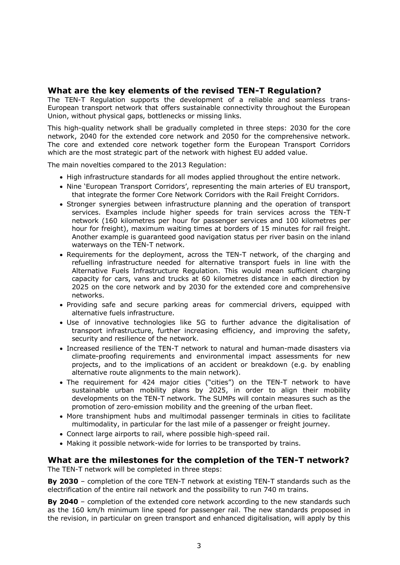# <span id="page-2-0"></span>**What are the key elements of the revised TEN-T Regulation?**

The TEN-T Regulation supports the development of a reliable and seamless trans-European transport network that offers sustainable connectivity throughout the European Union, without physical gaps, bottlenecks or missing links.

This high-quality network shall be gradually completed in three steps: 2030 for the core network, 2040 for the extended core network and 2050 for the comprehensive network. The core and extended core network together form the European Transport Corridors which are the most strategic part of the network with highest EU added value.

The main novelties compared to the 2013 Regulation:

- High infrastructure standards for all modes applied throughout the entire network.
- Nine 'European Transport Corridors', representing the main arteries of EU transport, that integrate the former Core Network Corridors with the Rail Freight Corridors.
- Stronger synergies between infrastructure planning and the operation of transport services. Examples include higher speeds for train services across the TEN-T network (160 kilometres per hour for passenger services and 100 kilometres per hour for freight), maximum waiting times at borders of 15 minutes for rail freight. Another example is guaranteed good navigation status per river basin on the inland waterways on the TEN-T network.
- Requirements for the deployment, across the TEN-T network, of the charging and refuelling infrastructure needed for alternative transport fuels in line with the Alternative Fuels Infrastructure Regulation. This would mean sufficient charging capacity for cars, vans and trucks at 60 kilometres distance in each direction by 2025 on the core network and by 2030 for the extended core and comprehensive networks.
- Providing safe and secure parking areas for commercial drivers, equipped with alternative fuels infrastructure.
- Use of innovative technologies like 5G to further advance the digitalisation of transport infrastructure, further increasing efficiency, and improving the safety, security and resilience of the network.
- Increased resilience of the TEN-T network to natural and human-made disasters via climate-proofing requirements and environmental impact assessments for new projects, and to the implications of an accident or breakdown (e.g. by enabling alternative route alignments to the main network).
- The requirement for 424 major cities ("cities") on the TEN-T network to have sustainable urban mobility plans by 2025, in order to align their mobility developments on the TEN-T network. The SUMPs will contain measures such as the promotion of zero-emission mobility and the greening of the urban fleet.
- More transhipment hubs and multimodal passenger terminals in cities to facilitate multimodality, in particular for the last mile of a passenger or freight journey.
- Connect large airports to rail, where possible high-speed rail.
- Making it possible network-wide for lorries to be transported by trains.

# <span id="page-2-1"></span>**What are the milestones for the completion of the TEN-T network?**

The TEN-T network will be completed in three steps:

**By 2030** – completion of the core TEN-T network at existing TEN-T standards such as the electrification of the entire rail network and the possibility to run 740 m trains.

**By 2040** – completion of the extended core network according to the new standards such as the 160 km/h minimum line speed for passenger rail. The new standards proposed in the revision, in particular on green transport and enhanced digitalisation, will apply by this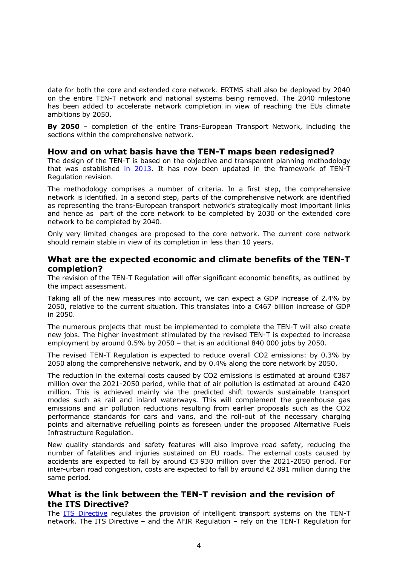date for both the core and extended core network. ERTMS shall also be deployed by 2040 on the entire TEN-T network and national systems being removed. The 2040 milestone has been added to accelerate network completion in view of reaching the EUs climate ambitions by 2050.

**By 2050** – completion of the entire Trans-European Transport Network, including the sections within the comprehensive network.

#### <span id="page-3-0"></span>**How and on what basis have the TEN-T maps been redesigned?**

The design of the TEN-T is based on the objective and transparent planning methodology that was established [in 2013.](https://eur-lex.europa.eu/legal-content/EN/TXT/?uri=CELEX%3A32013R1315) It has now been updated in the framework of TEN-T Regulation revision.

The methodology comprises a number of criteria. In a first step, the comprehensive network is identified. In a second step, parts of the comprehensive network are identified as representing the trans-European transport network's strategically most important links and hence as part of the core network to be completed by 2030 or the extended core network to be completed by 2040.

Only very limited changes are proposed to the core network. The current core network should remain stable in view of its completion in less than 10 years.

#### <span id="page-3-1"></span>**What are the expected economic and climate benefits of the TEN-T completion?**

The revision of the TEN-T Regulation will offer significant economic benefits, as outlined by the impact assessment.

Taking all of the new measures into account, we can expect a GDP increase of 2.4% by 2050, relative to the current situation. This translates into a €467 billion increase of GDP in 2050.

The numerous projects that must be implemented to complete the TEN-T will also create new jobs. The higher investment stimulated by the revised TEN-T is expected to increase employment by around 0.5% by 2050 – that is an additional 840 000 jobs by 2050.

The revised TEN-T Regulation is expected to reduce overall CO2 emissions: by 0.3% by 2050 along the comprehensive network, and by 0.4% along the core network by 2050.

The reduction in the external costs caused by CO2 emissions is estimated at around  $\epsilon$ 387 million over the 2021-2050 period, while that of air pollution is estimated at around €420 million. This is achieved mainly via the predicted shift towards sustainable transport modes such as rail and inland waterways. This will complement the greenhouse gas emissions and air pollution reductions resulting from earlier proposals such as the CO2 performance standards for cars and vans, and the roll-out of the necessary charging points and alternative refuelling points as foreseen under the proposed Alternative Fuels Infrastructure Regulation.

New quality standards and safety features will also improve road safety, reducing the number of fatalities and injuries sustained on EU roads. The external costs caused by accidents are expected to fall by around €3 930 million over the 2021-2050 period. For inter-urban road congestion, costs are expected to fall by around €2 891 million during the same period.

#### <span id="page-3-2"></span>**What is the link between the TEN-T revision and the revision of the ITS Directive?**

The **ITS Directive** regulates the provision of intelligent transport systems on the TEN-T network. The ITS Directive – and the AFIR Regulation – rely on the TEN-T Regulation for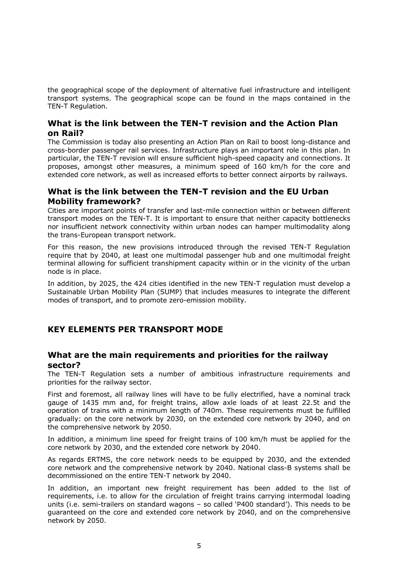the geographical scope of the deployment of alternative fuel infrastructure and intelligent transport systems. The geographical scope can be found in the maps contained in the TEN-T Regulation.

# <span id="page-4-0"></span>**What is the link between the TEN-T revision and the Action Plan on Rail?**

The Commission is today also presenting an Action Plan on Rail to boost long-distance and cross-border passenger rail services. Infrastructure plays an important role in this plan. In particular, the TEN-T revision will ensure sufficient high-speed capacity and connections. It proposes, amongst other measures, a minimum speed of 160 km/h for the core and extended core network, as well as increased efforts to better connect airports by railways.

# <span id="page-4-1"></span>**What is the link between the TEN-T revision and the EU Urban Mobility framework?**

Cities are important points of transfer and last-mile connection within or between different transport modes on the TEN-T. It is important to ensure that neither capacity bottlenecks nor insufficient network connectivity within urban nodes can hamper multimodality along the trans-European transport network.

For this reason, the new provisions introduced through the revised TEN-T Regulation require that by 2040, at least one multimodal passenger hub and one multimodal freight terminal allowing for sufficient transhipment capacity within or in the vicinity of the urban node is in place.

In addition, by 2025, the 424 cities identified in the new TEN-T regulation must develop a Sustainable Urban Mobility Plan (SUMP) that includes measures to integrate the different modes of transport, and to promote zero-emission mobility.

# <span id="page-4-2"></span>**KEY ELEMENTS PER TRANSPORT MODE**

#### <span id="page-4-3"></span>**What are the main requirements and priorities for the railway sector?**

The TEN-T Regulation sets a number of ambitious infrastructure requirements and priorities for the railway sector.

First and foremost, all railway lines will have to be fully electrified, have a nominal track gauge of 1435 mm and, for freight trains, allow axle loads of at least 22.5t and the operation of trains with a minimum length of 740m. These requirements must be fulfilled gradually: on the core network by 2030, on the extended core network by 2040, and on the comprehensive network by 2050.

In addition, a minimum line speed for freight trains of 100 km/h must be applied for the core network by 2030, and the extended core network by 2040.

As regards ERTMS, the core network needs to be equipped by 2030, and the extended core network and the comprehensive network by 2040. National class-B systems shall be decommissioned on the entire TEN-T network by 2040.

In addition, an important new freight requirement has been added to the list of requirements, i.e. to allow for the circulation of freight trains carrying intermodal loading units (i.e. semi-trailers on standard wagons – so called 'P400 standard'). This needs to be guaranteed on the core and extended core network by 2040, and on the comprehensive network by 2050.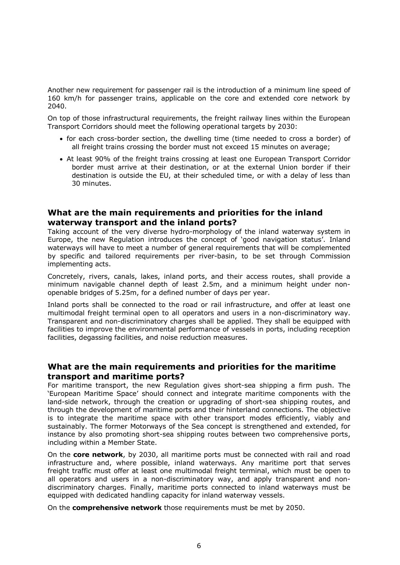Another new requirement for passenger rail is the introduction of a minimum line speed of 160 km/h for passenger trains, applicable on the core and extended core network by 2040.

On top of those infrastructural requirements, the freight railway lines within the European Transport Corridors should meet the following operational targets by 2030:

- for each cross-border section, the dwelling time (time needed to cross a border) of all freight trains crossing the border must not exceed 15 minutes on average;
- At least 90% of the freight trains crossing at least one European Transport Corridor border must arrive at their destination, or at the external Union border if their destination is outside the EU, at their scheduled time, or with a delay of less than 30 minutes.

#### <span id="page-5-0"></span>**What are the main requirements and priorities for the inland waterway transport and the inland ports?**

Taking account of the very diverse hydro-morphology of the inland waterway system in Europe, the new Regulation introduces the concept of 'good navigation status'. Inland waterways will have to meet a number of general requirements that will be complemented by specific and tailored requirements per river-basin, to be set through Commission implementing acts.

Concretely, rivers, canals, lakes, inland ports, and their access routes, shall provide a minimum navigable channel depth of least 2.5m, and a minimum height under nonopenable bridges of 5.25m, for a defined number of days per year.

Inland ports shall be connected to the road or rail infrastructure, and offer at least one multimodal freight terminal open to all operators and users in a non-discriminatory way. Transparent and non-discriminatory charges shall be applied. They shall be equipped with facilities to improve the environmental performance of vessels in ports, including reception facilities, degassing facilities, and noise reduction measures.

#### <span id="page-5-1"></span>**What are the main requirements and priorities for the maritime transport and maritime ports?**

For maritime transport, the new Regulation gives short-sea shipping a firm push. The 'European Maritime Space' should connect and integrate maritime components with the land-side network, through the creation or upgrading of short-sea shipping routes, and through the development of maritime ports and their hinterland connections. The objective is to integrate the maritime space with other transport modes efficiently, viably and sustainably. The former Motorways of the Sea concept is strengthened and extended, for instance by also promoting short-sea shipping routes between two comprehensive ports, including within a Member State.

On the **core network**, by 2030, all maritime ports must be connected with rail and road infrastructure and, where possible, inland waterways. Any maritime port that serves freight traffic must offer at least one multimodal freight terminal, which must be open to all operators and users in a non-discriminatory way, and apply transparent and nondiscriminatory charges. Finally, maritime ports connected to inland waterways must be equipped with dedicated handling capacity for inland waterway vessels.

On the **comprehensive network** those requirements must be met by 2050.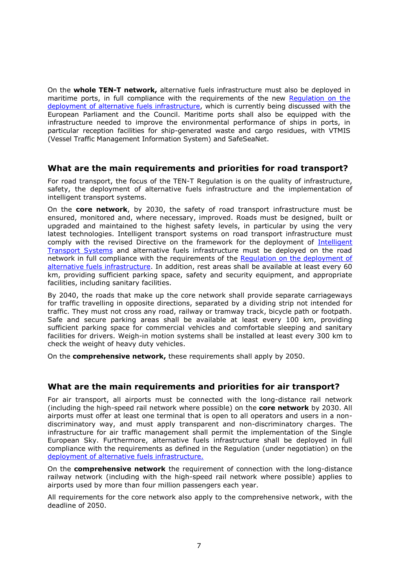On the **whole TEN-T network,** alternative fuels infrastructure must also be deployed in maritime ports, in full compliance with the requirements of the new [Regulation on the](https://eur-lex.europa.eu/legal-content/en/TXT/?uri=CELEX:52021PC0559)  [deployment of alternative fuels infrastructure,](https://eur-lex.europa.eu/legal-content/en/TXT/?uri=CELEX:52021PC0559) which is currently being discussed with the European Parliament and the Council. Maritime ports shall also be equipped with the infrastructure needed to improve the environmental performance of ships in ports, in particular reception facilities for ship-generated waste and cargo residues, with VTMIS (Vessel Traffic Management Information System) and SafeSeaNet.

# <span id="page-6-0"></span>**What are the main requirements and priorities for road transport?**

For road transport, the focus of the TEN-T Regulation is on the quality of infrastructure, safety, the deployment of alternative fuels infrastructure and the implementation of intelligent transport systems.

On the **core network**, by 2030, the safety of road transport infrastructure must be ensured, monitored and, where necessary, improved. Roads must be designed, built or upgraded and maintained to the highest safety levels, in particular by using the very latest technologies. Intelligent transport systems on road transport infrastructure must comply with the revised Directive on the framework for the deployment of [Intelligent](https://transport.ec.europa.eu/news/efficient-and-green-mobility-2021-12-14_en)  [Transport Systems](https://transport.ec.europa.eu/news/efficient-and-green-mobility-2021-12-14_en) and alternative fuels infrastructure must be deployed on the road network in full compliance with the requirements of the [Regulation on the deployment of](https://eur-lex.europa.eu/legal-content/en/TXT/?uri=CELEX:52021PC0559)  [alternative fuels infrastructure.](https://eur-lex.europa.eu/legal-content/en/TXT/?uri=CELEX:52021PC0559) In addition, rest areas shall be available at least every 60 km, providing sufficient parking space, safety and security equipment, and appropriate facilities, including sanitary facilities.

By 2040, the roads that make up the core network shall provide separate carriageways for traffic travelling in opposite directions, separated by a dividing strip not intended for traffic. They must not cross any road, railway or tramway track, bicycle path or footpath. Safe and secure parking areas shall be available at least every 100 km, providing sufficient parking space for commercial vehicles and comfortable sleeping and sanitary facilities for drivers. Weigh-in motion systems shall be installed at least every 300 km to check the weight of heavy duty vehicles.

On the **comprehensive network,** these requirements shall apply by 2050.

#### <span id="page-6-1"></span>**What are the main requirements and priorities for air transport?**

For air transport, all airports must be connected with the long-distance rail network (including the high-speed rail network where possible) on the **core network** by 2030. All airports must offer at least one terminal that is open to all operators and users in a nondiscriminatory way, and must apply transparent and non-discriminatory charges. The infrastructure for air traffic management shall permit the implementation of the Single European Sky. Furthermore, alternative fuels infrastructure shall be deployed in full compliance with the requirements as defined in the Regulation (under negotiation) on the [deployment of alternative fuels infrastructure.](https://eur-lex.europa.eu/legal-content/en/TXT/?uri=CELEX:52021PC0559)

On the **comprehensive network** the requirement of connection with the long-distance railway network (including with the high-speed rail network where possible) applies to airports used by more than four million passengers each year.

All requirements for the core network also apply to the comprehensive network, with the deadline of 2050.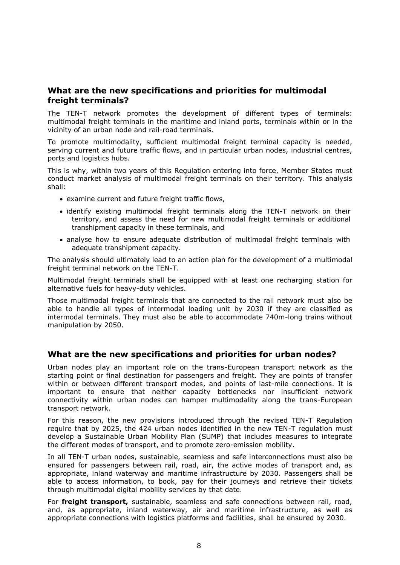# <span id="page-7-0"></span>**What are the new specifications and priorities for multimodal freight terminals?**

The TEN-T network promotes the development of different types of terminals: multimodal freight terminals in the maritime and inland ports, terminals within or in the vicinity of an urban node and rail-road terminals.

To promote multimodality, sufficient multimodal freight terminal capacity is needed, serving current and future traffic flows, and in particular urban nodes, industrial centres, ports and logistics hubs.

This is why, within two years of this Regulation entering into force, Member States must conduct market analysis of multimodal freight terminals on their territory. This analysis shall:

- examine current and future freight traffic flows,
- identify existing multimodal freight terminals along the TEN-T network on their territory, and assess the need for new multimodal freight terminals or additional transhipment capacity in these terminals, and
- analyse how to ensure adequate distribution of multimodal freight terminals with adequate transhipment capacity.

The analysis should ultimately lead to an action plan for the development of a multimodal freight terminal network on the TEN-T.

Multimodal freight terminals shall be equipped with at least one recharging station for alternative fuels for heavy-duty vehicles.

Those multimodal freight terminals that are connected to the rail network must also be able to handle all types of intermodal loading unit by 2030 if they are classified as intermodal terminals. They must also be able to accommodate 740m-long trains without manipulation by 2050.

# <span id="page-7-1"></span>**What are the new specifications and priorities for urban nodes?**

Urban nodes play an important role on the trans-European transport network as the starting point or final destination for passengers and freight. They are points of transfer within or between different transport modes, and points of last-mile connections. It is important to ensure that neither capacity bottlenecks nor insufficient network connectivity within urban nodes can hamper multimodality along the trans-European transport network.

For this reason, the new provisions introduced through the revised TEN-T Regulation require that by 2025, the 424 urban nodes identified in the new TEN-T regulation must develop a Sustainable Urban Mobility Plan (SUMP) that includes measures to integrate the different modes of transport, and to promote zero-emission mobility.

In all TEN-T urban nodes, sustainable, seamless and safe interconnections must also be ensured for passengers between rail, road, air, the active modes of transport and, as appropriate, inland waterway and maritime infrastructure by 2030. Passengers shall be able to access information, to book, pay for their journeys and retrieve their tickets through multimodal digital mobility services by that date.

For **freight transport,** sustainable, seamless and safe connections between rail, road, and, as appropriate, inland waterway, air and maritime infrastructure, as well as appropriate connections with logistics platforms and facilities, shall be ensured by 2030.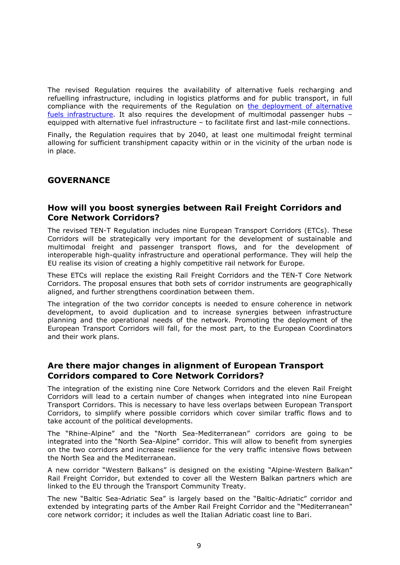The revised Regulation requires the availability of alternative fuels recharging and refuelling infrastructure, including in logistics platforms and for public transport, in full compliance with the requirements of the Regulation on the deployment of alternative [fuels infrastructure.](https://eur-lex.europa.eu/legal-content/en/TXT/?uri=CELEX:52021PC0559) It also requires the development of multimodal passenger hubs – equipped with alternative fuel infrastructure – to facilitate first and last-mile connections.

Finally, the Regulation requires that by 2040, at least one multimodal freight terminal allowing for sufficient transhipment capacity within or in the vicinity of the urban node is in place.

# <span id="page-8-0"></span>**GOVERNANCE**

# <span id="page-8-1"></span>**How will you boost synergies between Rail Freight Corridors and Core Network Corridors?**

The revised TEN-T Regulation includes nine European Transport Corridors (ETCs). These Corridors will be strategically very important for the development of sustainable and multimodal freight and passenger transport flows, and for the development of interoperable high-quality infrastructure and operational performance. They will help the EU realise its vision of creating a highly competitive rail network for Europe.

These ETCs will replace the existing Rail Freight Corridors and the TEN-T Core Network Corridors. The proposal ensures that both sets of corridor instruments are geographically aligned, and further strengthens coordination between them.

The integration of the two corridor concepts is needed to ensure coherence in network development, to avoid duplication and to increase synergies between infrastructure planning and the operational needs of the network. Promoting the deployment of the European Transport Corridors will fall, for the most part, to the European Coordinators and their work plans.

#### <span id="page-8-2"></span>**Are there major changes in alignment of European Transport Corridors compared to Core Network Corridors?**

The integration of the existing nine Core Network Corridors and the eleven Rail Freight Corridors will lead to a certain number of changes when integrated into nine European Transport Corridors. This is necessary to have less overlaps between European Transport Corridors, to simplify where possible corridors which cover similar traffic flows and to take account of the political developments.

The "Rhine-Alpine" and the "North Sea-Mediterranean" corridors are going to be integrated into the "North Sea-Alpine" corridor. This will allow to benefit from synergies on the two corridors and increase resilience for the very traffic intensive flows between the North Sea and the Mediterranean.

A new corridor "Western Balkans" is designed on the existing "Alpine-Western Balkan" Rail Freight Corridor, but extended to cover all the Western Balkan partners which are linked to the EU through the Transport Community Treaty.

The new "Baltic Sea-Adriatic Sea" is largely based on the "Baltic-Adriatic" corridor and extended by integrating parts of the Amber Rail Freight Corridor and the "Mediterranean" core network corridor; it includes as well the Italian Adriatic coast line to Bari.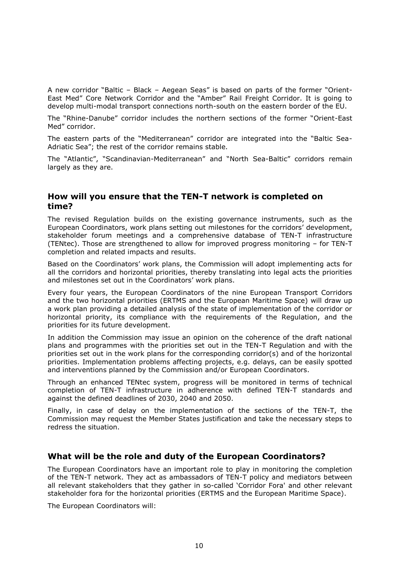A new corridor "Baltic – Black – Aegean Seas" is based on parts of the former "Orient-East Med" Core Network Corridor and the "Amber" Rail Freight Corridor. It is going to develop multi-modal transport connections north-south on the eastern border of the EU.

The "Rhine-Danube" corridor includes the northern sections of the former "Orient-East Med" corridor.

The eastern parts of the "Mediterranean" corridor are integrated into the "Baltic Sea-Adriatic Sea"; the rest of the corridor remains stable.

The "Atlantic", "Scandinavian-Mediterranean" and "North Sea-Baltic" corridors remain largely as they are.

# <span id="page-9-0"></span>**How will you ensure that the TEN-T network is completed on time?**

The revised Regulation builds on the existing governance instruments, such as the European Coordinators, work plans setting out milestones for the corridors' development, stakeholder forum meetings and a comprehensive database of TEN-T infrastructure (TENtec). Those are strengthened to allow for improved progress monitoring – for TEN-T completion and related impacts and results.

Based on the Coordinators' work plans, the Commission will adopt implementing acts for all the corridors and horizontal priorities, thereby translating into legal acts the priorities and milestones set out in the Coordinators' work plans.

Every four years, the European Coordinators of the nine European Transport Corridors and the two horizontal priorities (ERTMS and the European Maritime Space) will draw up a work plan providing a detailed analysis of the state of implementation of the corridor or horizontal priority, its compliance with the requirements of the Regulation, and the priorities for its future development.

In addition the Commission may issue an opinion on the coherence of the draft national plans and programmes with the priorities set out in the TEN-T Regulation and with the priorities set out in the work plans for the corresponding corridor(s) and of the horizontal priorities. Implementation problems affecting projects, e.g. delays, can be easily spotted and interventions planned by the Commission and/or European Coordinators.

Through an enhanced TENtec system, progress will be monitored in terms of technical completion of TEN-T infrastructure in adherence with defined TEN-T standards and against the defined deadlines of 2030, 2040 and 2050.

Finally, in case of delay on the implementation of the sections of the TEN-T, the Commission may request the Member States justification and take the necessary steps to redress the situation.

# <span id="page-9-1"></span>**What will be the role and duty of the European Coordinators?**

The European Coordinators have an important role to play in monitoring the completion of the TEN-T network. They act as ambassadors of TEN-T policy and mediators between all relevant stakeholders that they gather in so-called 'Corridor Fora' and other relevant stakeholder fora for the horizontal priorities (ERTMS and the European Maritime Space).

The European Coordinators will: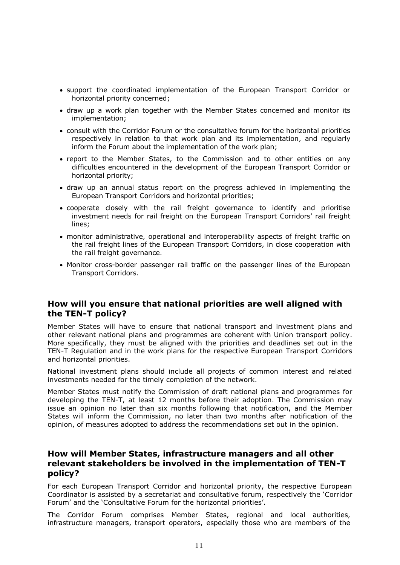- support the coordinated implementation of the European Transport Corridor or horizontal priority concerned;
- draw up a work plan together with the Member States concerned and monitor its implementation;
- consult with the Corridor Forum or the consultative forum for the horizontal priorities respectively in relation to that work plan and its implementation, and regularly inform the Forum about the implementation of the work plan;
- report to the Member States, to the Commission and to other entities on any difficulties encountered in the development of the European Transport Corridor or horizontal priority;
- draw up an annual status report on the progress achieved in implementing the European Transport Corridors and horizontal priorities;
- cooperate closely with the rail freight governance to identify and prioritise investment needs for rail freight on the European Transport Corridors' rail freight lines;
- monitor administrative, operational and interoperability aspects of freight traffic on the rail freight lines of the European Transport Corridors, in close cooperation with the rail freight governance.
- Monitor cross-border passenger rail traffic on the passenger lines of the European Transport Corridors.

# <span id="page-10-0"></span>**How will you ensure that national priorities are well aligned with the TEN-T policy?**

Member States will have to ensure that national transport and investment plans and other relevant national plans and programmes are coherent with Union transport policy. More specifically, they must be aligned with the priorities and deadlines set out in the TEN-T Regulation and in the work plans for the respective European Transport Corridors and horizontal priorities.

National investment plans should include all projects of common interest and related investments needed for the timely completion of the network.

Member States must notify the Commission of draft national plans and programmes for developing the TEN-T, at least 12 months before their adoption. The Commission may issue an opinion no later than six months following that notification, and the Member States will inform the Commission, no later than two months after notification of the opinion, of measures adopted to address the recommendations set out in the opinion.

# <span id="page-10-1"></span>**How will Member States, infrastructure managers and all other relevant stakeholders be involved in the implementation of TEN-T policy?**

For each European Transport Corridor and horizontal priority, the respective European Coordinator is assisted by a secretariat and consultative forum, respectively the 'Corridor Forum' and the 'Consultative Forum for the horizontal priorities'.

The Corridor Forum comprises Member States, regional and local authorities, infrastructure managers, transport operators, especially those who are members of the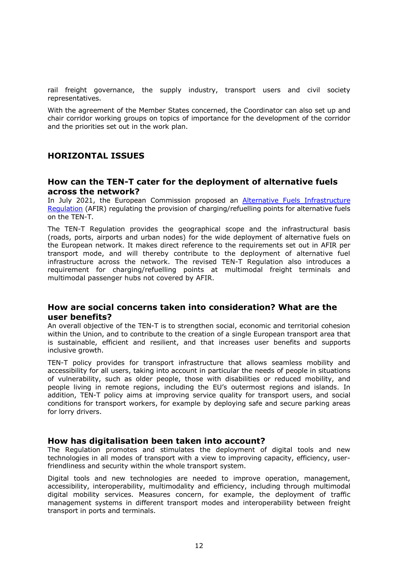rail freight governance, the supply industry, transport users and civil society representatives.

With the agreement of the Member States concerned, the Coordinator can also set up and chair corridor working groups on topics of importance for the development of the corridor and the priorities set out in the work plan.

#### <span id="page-11-0"></span>**HORIZONTAL ISSUES**

#### <span id="page-11-1"></span>**How can the TEN-T cater for the deployment of alternative fuels across the network?**

In July 2021, the European Commission proposed an **Alternative Fuels Infrastructure** [Regulation](https://eur-lex.europa.eu/legal-content/en/TXT/?uri=CELEX:52021PC0559) (AFIR) regulating the provision of charging/refuelling points for alternative fuels on the TEN-T.

The TEN-T Regulation provides the geographical scope and the infrastructural basis (roads, ports, airports and urban nodes) for the wide deployment of alternative fuels on the European network. It makes direct reference to the requirements set out in AFIR per transport mode, and will thereby contribute to the deployment of alternative fuel infrastructure across the network. The revised TEN-T Regulation also introduces a requirement for charging/refuelling points at multimodal freight terminals and multimodal passenger hubs not covered by AFIR.

# <span id="page-11-2"></span>**How are social concerns taken into consideration? What are the user benefits?**

An overall objective of the TEN-T is to strengthen social, economic and territorial cohesion within the Union, and to contribute to the creation of a single European transport area that is sustainable, efficient and resilient, and that increases user benefits and supports inclusive growth.

TEN-T policy provides for transport infrastructure that allows seamless mobility and accessibility for all users, taking into account in particular the needs of people in situations of vulnerability, such as older people, those with disabilities or reduced mobility, and people living in remote regions, including the EU's outermost regions and islands. In addition, TEN-T policy aims at improving service quality for transport users, and social conditions for transport workers, for example by deploying safe and secure parking areas for lorry drivers.

#### <span id="page-11-3"></span>**How has digitalisation been taken into account?**

The Regulation promotes and stimulates the deployment of digital tools and new technologies in all modes of transport with a view to improving capacity, efficiency, userfriendliness and security within the whole transport system.

Digital tools and new technologies are needed to improve operation, management, accessibility, interoperability, multimodality and efficiency, including through multimodal digital mobility services. Measures concern, for example, the deployment of traffic management systems in different transport modes and interoperability between freight transport in ports and terminals.